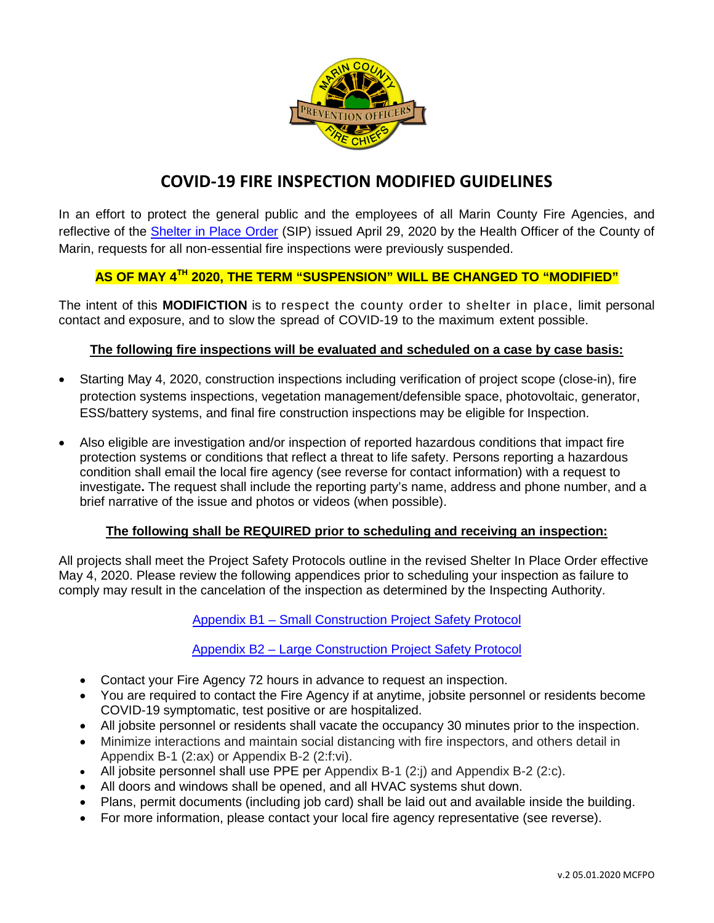

# **COVID-19 FIRE INSPECTION MODIFIED GUIDELINES**

In an effort to protect the general public and the employees of all Marin County Fire Agencies, and reflective of the [Shelter in Place Order](https://coronavirus.marinhhs.org/marin-public-health-order-april-29-2020) (SIP) issued April 29, 2020 by the Health Officer of the County of Marin, requests for all non-essential fire inspections were previously suspended.

# **AS OF MAY 4TH 2020, THE TERM "SUSPENSION" WILL BE CHANGED TO "MODIFIED"**

The intent of this **MODIFICTION** is to respect the county order to shelter in place, limit personal contact and exposure, and to slow the spread of COVID-19 to the maximum extent possible.

#### **The following fire inspections will be evaluated and scheduled on a case by case basis:**

- Starting May 4, 2020, construction inspections including verification of project scope (close-in), fire protection systems inspections, vegetation management/defensible space, photovoltaic, generator, ESS/battery systems, and final fire construction inspections may be eligible for Inspection.
- Also eligible are investigation and/or inspection of reported hazardous conditions that impact fire protection systems or conditions that reflect a threat to life safety. Persons reporting a hazardous condition shall email the local fire agency (see reverse for contact information) with a request to investigate**.** The request shall include the reporting party's name, address and phone number, and a brief narrative of the issue and photos or videos (when possible).

#### **The following shall be REQUIRED prior to scheduling and receiving an inspection:**

All projects shall meet the Project Safety Protocols outline in the revised Shelter In Place Order effective May 4, 2020. Please review the following appendices prior to scheduling your inspection as failure to comply may result in the cancelation of the inspection as determined by the Inspecting Authority.

Appendix B1 – Small [Construction](https://coronavirus.marinhhs.org/appendix-b-1-marin-health-order-april-29-2020) Project Safety Protocol

Appendix B2 – Large [Construction](https://coronavirus.marinhhs.org/appendix-b-2-marin-health-order-april-29-2020) Project Safety Protocol

- Contact your Fire Agency 72 hours in advance to request an inspection.
- You are required to contact the Fire Agency if at anytime, jobsite personnel or residents become COVID-19 symptomatic, test positive or are hospitalized.
- All jobsite personnel or residents shall vacate the occupancy 30 minutes prior to the inspection.
- Minimize interactions and maintain social distancing with fire inspectors, and others detail in Appendix B-1 (2:ax) or Appendix B-2 (2:f:vi).
- All jobsite personnel shall use PPE per Appendix B-1 (2:j) and Appendix B-2 (2:c).
- All doors and windows shall be opened, and all HVAC systems shut down.
- Plans, permit documents (including job card) shall be laid out and available inside the building.
- For more information, please contact your local fire agency representative (see reverse).